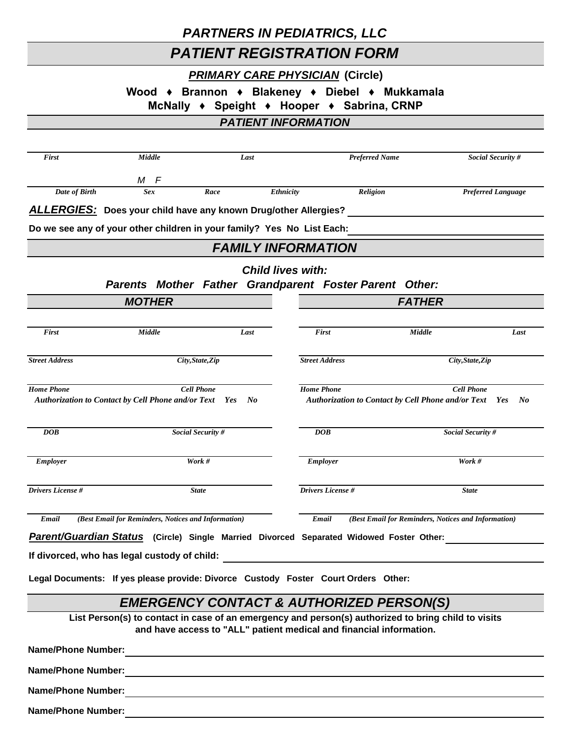## *PARTNERS IN PEDIATRICS, LLC*

## *PATIENT REGISTRATION FORM*

### *PRIMARY CARE PHYSICIAN* **(Circle)**

**Wood ♦ Brannon ♦ Blakeney ♦ Diebel ♦ Mukkamala** 

**McNally ♦ Speight ♦ Hooper ♦ Sabrina, CRNP**

## *PATIENT INFORMATION*

| First                                                                                                                        | Middle                                                                                              | Last                                                                |                                           | <b>Preferred Name</b> |                                                           | Social Security #         |  |  |  |
|------------------------------------------------------------------------------------------------------------------------------|-----------------------------------------------------------------------------------------------------|---------------------------------------------------------------------|-------------------------------------------|-----------------------|-----------------------------------------------------------|---------------------------|--|--|--|
|                                                                                                                              | M F                                                                                                 |                                                                     |                                           |                       |                                                           |                           |  |  |  |
| Date of Birth                                                                                                                | <b>Sex</b>                                                                                          | Race                                                                | Ethnicity                                 | Religion              |                                                           | <b>Preferred Language</b> |  |  |  |
|                                                                                                                              | <b>ALLERGIES:</b> Does your child have any known Drug/other Allergies?                              |                                                                     |                                           |                       |                                                           |                           |  |  |  |
|                                                                                                                              | Do we see any of your other children in your family? Yes No List Each:                              |                                                                     |                                           |                       |                                                           |                           |  |  |  |
| <b>FAMILY INFORMATION</b>                                                                                                    |                                                                                                     |                                                                     |                                           |                       |                                                           |                           |  |  |  |
|                                                                                                                              |                                                                                                     |                                                                     | <b>Child lives with:</b>                  |                       |                                                           |                           |  |  |  |
|                                                                                                                              | Parents Mother Father Grandparent Foster Parent Other:                                              |                                                                     |                                           |                       |                                                           |                           |  |  |  |
|                                                                                                                              | <b>MOTHER</b>                                                                                       |                                                                     |                                           |                       | <b>FATHER</b>                                             |                           |  |  |  |
| First                                                                                                                        | Middle                                                                                              | Last                                                                |                                           | First                 | Middle                                                    | Last                      |  |  |  |
|                                                                                                                              |                                                                                                     |                                                                     |                                           |                       |                                                           |                           |  |  |  |
| <b>Street Address</b>                                                                                                        |                                                                                                     | City, State, Zip                                                    | <b>Street Address</b><br>City, State, Zip |                       |                                                           |                           |  |  |  |
| <b>Home Phone</b>                                                                                                            |                                                                                                     | <b>Cell Phone</b>                                                   | <b>Home Phone</b>                         |                       |                                                           | <b>Cell Phone</b>         |  |  |  |
|                                                                                                                              | <b>Authorization to Contact by Cell Phone and/or Text</b> Yes                                       | $N$ o                                                               |                                           |                       | <b>Authorization to Contact by Cell Phone and/or Text</b> | $N_{0}$<br>Yes            |  |  |  |
| DOB                                                                                                                          |                                                                                                     | Social Security #                                                   |                                           | <b>DOB</b>            |                                                           | Social Security #         |  |  |  |
|                                                                                                                              |                                                                                                     |                                                                     |                                           |                       |                                                           |                           |  |  |  |
| <b>Employer</b>                                                                                                              |                                                                                                     | Work #                                                              |                                           | <b>Employer</b>       |                                                           | Work #                    |  |  |  |
| <b>Drivers License#</b>                                                                                                      |                                                                                                     | <b>State</b>                                                        |                                           | Drivers License #     |                                                           | <b>State</b>              |  |  |  |
| (Best Email for Reminders, Notices and Information)<br>Email<br>Email<br>(Best Email for Reminders, Notices and Information) |                                                                                                     |                                                                     |                                           |                       |                                                           |                           |  |  |  |
|                                                                                                                              | Parent/Guardian Status (Circle) Single Married Divorced Separated Widowed Foster Other:             |                                                                     |                                           |                       |                                                           |                           |  |  |  |
|                                                                                                                              | If divorced, who has legal custody of child:                                                        |                                                                     |                                           |                       |                                                           |                           |  |  |  |
|                                                                                                                              | Legal Documents: If yes please provide: Divorce Custody Foster Court Orders Other:                  |                                                                     |                                           |                       |                                                           |                           |  |  |  |
|                                                                                                                              |                                                                                                     | <b>EMERGENCY CONTACT &amp; AUTHORIZED PERSON(S)</b>                 |                                           |                       |                                                           |                           |  |  |  |
|                                                                                                                              | List Person(s) to contact in case of an emergency and person(s) authorized to bring child to visits |                                                                     |                                           |                       |                                                           |                           |  |  |  |
|                                                                                                                              |                                                                                                     | and have access to "ALL" patient medical and financial information. |                                           |                       |                                                           |                           |  |  |  |
| <b>Name/Phone Number:</b>                                                                                                    |                                                                                                     | <u> 1989 - Andrea Andrew Maria (h. 1989).</u>                       |                                           |                       |                                                           |                           |  |  |  |
| <b>Name/Phone Number:</b>                                                                                                    |                                                                                                     |                                                                     |                                           |                       |                                                           |                           |  |  |  |
|                                                                                                                              |                                                                                                     |                                                                     |                                           |                       |                                                           |                           |  |  |  |
| <b>Name/Phone Number:</b>                                                                                                    |                                                                                                     |                                                                     |                                           |                       |                                                           |                           |  |  |  |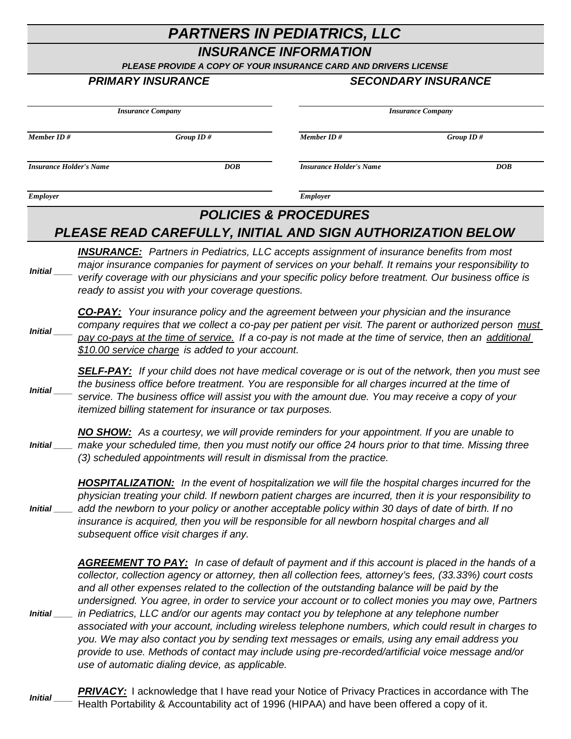# *PARTNERS IN PEDIATRICS, LLC*

## *INSURANCE INFORMATION*

*PLEASE PROVIDE A COPY OF YOUR INSURANCE CARD AND DRIVERS LICENSE*

#### *PRIMARY INSURANCE SECONDARY INSURANCE*

| <b>Insurance Company</b>       |                                                                                                                                                                                                                                                                                                                                                                                                                                                                                                                                                                                                                                                                                                                                                                                                                                                                                            |                                                   |                                                                                                  | <b>Insurance Company</b>                                                                                                                                                                                     |  |  |  |
|--------------------------------|--------------------------------------------------------------------------------------------------------------------------------------------------------------------------------------------------------------------------------------------------------------------------------------------------------------------------------------------------------------------------------------------------------------------------------------------------------------------------------------------------------------------------------------------------------------------------------------------------------------------------------------------------------------------------------------------------------------------------------------------------------------------------------------------------------------------------------------------------------------------------------------------|---------------------------------------------------|--------------------------------------------------------------------------------------------------|--------------------------------------------------------------------------------------------------------------------------------------------------------------------------------------------------------------|--|--|--|
| Member ID #                    |                                                                                                                                                                                                                                                                                                                                                                                                                                                                                                                                                                                                                                                                                                                                                                                                                                                                                            | Group ID#                                         | Member ID#                                                                                       | Group ID#                                                                                                                                                                                                    |  |  |  |
| <b>Insurance Holder's Name</b> |                                                                                                                                                                                                                                                                                                                                                                                                                                                                                                                                                                                                                                                                                                                                                                                                                                                                                            | DOB                                               | <b>Insurance Holder's Name</b>                                                                   | DOB                                                                                                                                                                                                          |  |  |  |
| <b>Employer</b>                |                                                                                                                                                                                                                                                                                                                                                                                                                                                                                                                                                                                                                                                                                                                                                                                                                                                                                            |                                                   | <b>Employer</b>                                                                                  |                                                                                                                                                                                                              |  |  |  |
|                                |                                                                                                                                                                                                                                                                                                                                                                                                                                                                                                                                                                                                                                                                                                                                                                                                                                                                                            |                                                   | <b>POLICIES &amp; PROCEDURES</b><br>PLEASE READ CAREFULLY, INITIAL AND SIGN AUTHORIZATION BELOW  |                                                                                                                                                                                                              |  |  |  |
| Initial                        |                                                                                                                                                                                                                                                                                                                                                                                                                                                                                                                                                                                                                                                                                                                                                                                                                                                                                            | ready to assist you with your coverage questions. | <b>INSURANCE:</b> Partners in Pediatrics, LLC accepts assignment of insurance benefits from most | major insurance companies for payment of services on your behalf. It remains your responsibility to<br>verify coverage with our physicians and your specific policy before treatment. Our business office is |  |  |  |
| <b>Initial</b>                 | <b>CO-PAY:</b> Your insurance policy and the agreement between your physician and the insurance<br>company requires that we collect a co-pay per patient per visit. The parent or authorized person must<br>pay co-pays at the time of service. If a co-pay is not made at the time of service, then an additional<br>\$10.00 service charge is added to your account.                                                                                                                                                                                                                                                                                                                                                                                                                                                                                                                     |                                                   |                                                                                                  |                                                                                                                                                                                                              |  |  |  |
| Initial                        | <b>SELF-PAY:</b> If your child does not have medical coverage or is out of the network, then you must see<br>the business office before treatment. You are responsible for all charges incurred at the time of<br>service. The business office will assist you with the amount due. You may receive a copy of your<br>itemized billing statement for insurance or tax purposes.                                                                                                                                                                                                                                                                                                                                                                                                                                                                                                            |                                                   |                                                                                                  |                                                                                                                                                                                                              |  |  |  |
| <i>Initial</i>                 | NO SHOW: As a courtesy, we will provide reminders for your appointment. If you are unable to<br>make your scheduled time, then you must notify our office 24 hours prior to that time. Missing three<br>(3) scheduled appointments will result in dismissal from the practice.                                                                                                                                                                                                                                                                                                                                                                                                                                                                                                                                                                                                             |                                                   |                                                                                                  |                                                                                                                                                                                                              |  |  |  |
|                                | <b>HOSPITALIZATION:</b> In the event of hospitalization we will file the hospital charges incurred for the<br>physician treating your child. If newborn patient charges are incurred, then it is your responsibility to<br>Initial ____ add the newborn to your policy or another acceptable policy within 30 days of date of birth. If no<br>insurance is acquired, then you will be responsible for all newborn hospital charges and all<br>subsequent office visit charges if any.                                                                                                                                                                                                                                                                                                                                                                                                      |                                                   |                                                                                                  |                                                                                                                                                                                                              |  |  |  |
| <i>Initial</i> _____           | <b>AGREEMENT TO PAY:</b> In case of default of payment and if this account is placed in the hands of a<br>collector, collection agency or attorney, then all collection fees, attorney's fees, (33.33%) court costs<br>and all other expenses related to the collection of the outstanding balance will be paid by the<br>undersigned. You agree, in order to service your account or to collect monies you may owe, Partners<br>in Pediatrics, LLC and/or our agents may contact you by telephone at any telephone number<br>associated with your account, including wireless telephone numbers, which could result in charges to<br>you. We may also contact you by sending text messages or emails, using any email address you<br>provide to use. Methods of contact may include using pre-recorded/artificial voice message and/or<br>use of automatic dialing device, as applicable. |                                                   |                                                                                                  |                                                                                                                                                                                                              |  |  |  |

*Initial \_\_\_\_* **PRIVACY:** I acknowledge that I have read your Notice of Privacy Practices in accordance with The Health Portability & Accountability act of 1996 (HIPAA) and have been offered a copy of it.